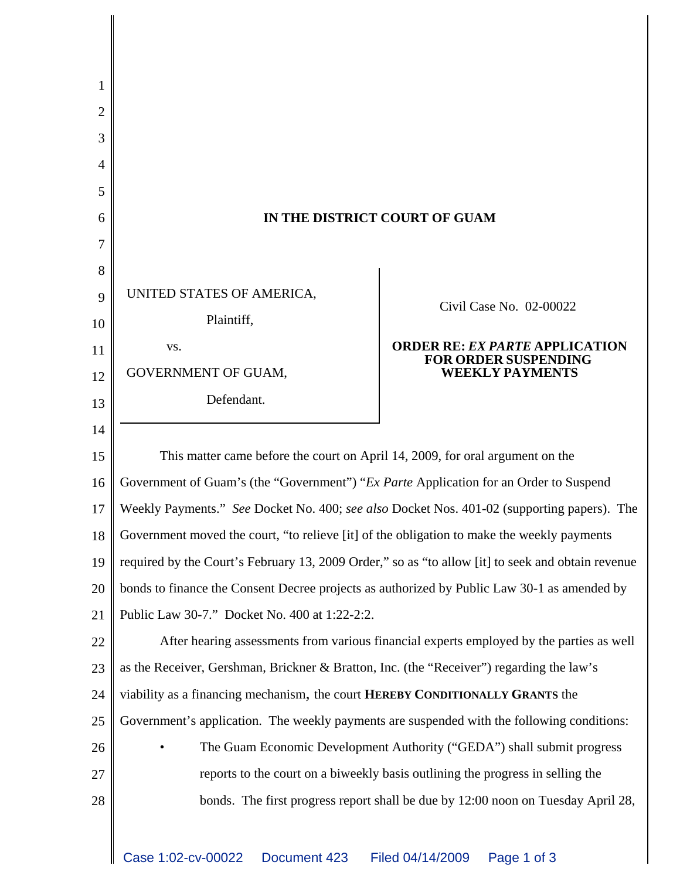| 1  |                                                                                                   |                                                                      |
|----|---------------------------------------------------------------------------------------------------|----------------------------------------------------------------------|
| 2  |                                                                                                   |                                                                      |
| 3  |                                                                                                   |                                                                      |
| 4  |                                                                                                   |                                                                      |
| 5  |                                                                                                   |                                                                      |
| 6  | IN THE DISTRICT COURT OF GUAM                                                                     |                                                                      |
| 7  |                                                                                                   |                                                                      |
| 8  |                                                                                                   |                                                                      |
| 9  | UNITED STATES OF AMERICA,                                                                         | Civil Case No. 02-00022                                              |
| 10 | Plaintiff,                                                                                        |                                                                      |
| 11 | VS.                                                                                               | <b>ORDER RE: EX PARTE APPLICATION</b><br><b>FOR ORDER SUSPENDING</b> |
| 12 | GOVERNMENT OF GUAM,                                                                               | <b>WEEKLY PAYMENTS</b>                                               |
| 13 | Defendant.                                                                                        |                                                                      |
| 14 |                                                                                                   |                                                                      |
| 15 | This matter came before the court on April 14, 2009, for oral argument on the                     |                                                                      |
| 16 | Government of Guam's (the "Government") "Ex Parte Application for an Order to Suspend             |                                                                      |
| 17 | Weekly Payments." See Docket No. 400; see also Docket Nos. 401-02 (supporting papers). The        |                                                                      |
| 18 | Government moved the court, "to relieve [it] of the obligation to make the weekly payments        |                                                                      |
| 19 | required by the Court's February 13, 2009 Order," so as "to allow [it] to seek and obtain revenue |                                                                      |
| 20 | bonds to finance the Consent Decree projects as authorized by Public Law 30-1 as amended by       |                                                                      |
| 21 | Public Law 30-7." Docket No. 400 at 1:22-2:2.                                                     |                                                                      |
| 22 | After hearing assessments from various financial experts employed by the parties as well          |                                                                      |
| 23 | as the Receiver, Gershman, Brickner & Bratton, Inc. (the "Receiver") regarding the law's          |                                                                      |
| 24 | viability as a financing mechanism, the court HEREBY CONDITIONALLY GRANTS the                     |                                                                      |
| 25 | Government's application. The weekly payments are suspended with the following conditions:        |                                                                      |
| 26 | The Guam Economic Development Authority ("GEDA") shall submit progress                            |                                                                      |
| 27 | reports to the court on a biweekly basis outlining the progress in selling the                    |                                                                      |
| 28 | bonds. The first progress report shall be due by 12:00 noon on Tuesday April 28,                  |                                                                      |
|    |                                                                                                   |                                                                      |
|    |                                                                                                   |                                                                      |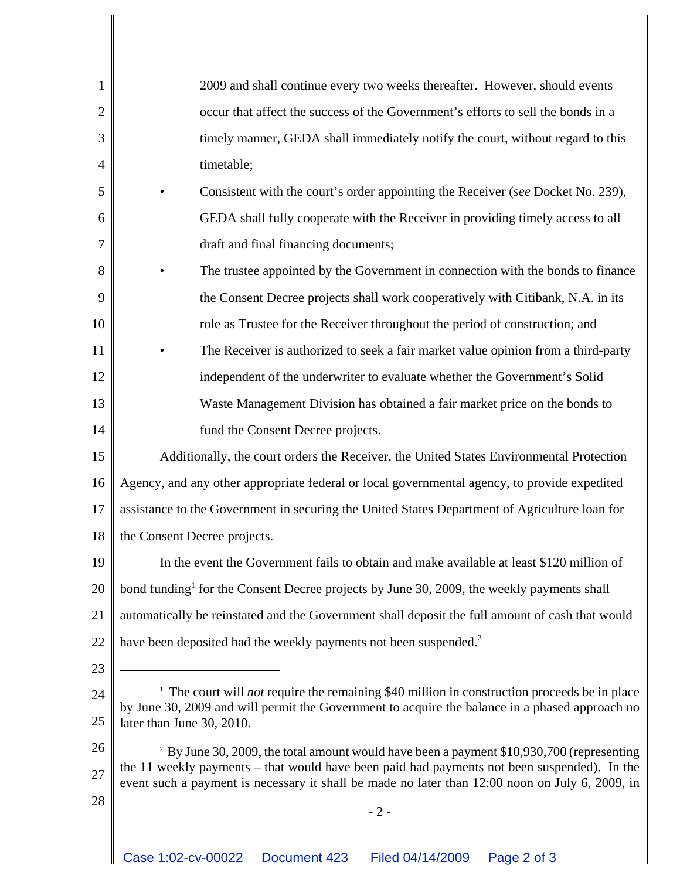| $\mathbf{1}$   | 2009 and shall continue every two weeks thereafter. However, should events                                                                                                                                                                                                                             |  |
|----------------|--------------------------------------------------------------------------------------------------------------------------------------------------------------------------------------------------------------------------------------------------------------------------------------------------------|--|
| $\overline{2}$ | occur that affect the success of the Government's efforts to sell the bonds in a                                                                                                                                                                                                                       |  |
| 3              | timely manner, GEDA shall immediately notify the court, without regard to this                                                                                                                                                                                                                         |  |
| 4              | timetable;                                                                                                                                                                                                                                                                                             |  |
| 5              | Consistent with the court's order appointing the Receiver (see Docket No. 239),                                                                                                                                                                                                                        |  |
| 6              | GEDA shall fully cooperate with the Receiver in providing timely access to all                                                                                                                                                                                                                         |  |
| 7              | draft and final financing documents;                                                                                                                                                                                                                                                                   |  |
| 8              | The trustee appointed by the Government in connection with the bonds to finance                                                                                                                                                                                                                        |  |
| 9              | the Consent Decree projects shall work cooperatively with Citibank, N.A. in its                                                                                                                                                                                                                        |  |
| 10             | role as Trustee for the Receiver throughout the period of construction; and                                                                                                                                                                                                                            |  |
| 11             | The Receiver is authorized to seek a fair market value opinion from a third-party                                                                                                                                                                                                                      |  |
| 12             | independent of the underwriter to evaluate whether the Government's Solid                                                                                                                                                                                                                              |  |
| 13             | Waste Management Division has obtained a fair market price on the bonds to                                                                                                                                                                                                                             |  |
| 14             | fund the Consent Decree projects.                                                                                                                                                                                                                                                                      |  |
| 15             | Additionally, the court orders the Receiver, the United States Environmental Protection                                                                                                                                                                                                                |  |
| 16             | Agency, and any other appropriate federal or local governmental agency, to provide expedited                                                                                                                                                                                                           |  |
| 17             | assistance to the Government in securing the United States Department of Agriculture loan for                                                                                                                                                                                                          |  |
| 18             | the Consent Decree projects.                                                                                                                                                                                                                                                                           |  |
| 19             | In the event the Government fails to obtain and make available at least \$120 million of                                                                                                                                                                                                               |  |
| 20             | bond funding <sup>1</sup> for the Consent Decree projects by June 30, 2009, the weekly payments shall                                                                                                                                                                                                  |  |
| 21             | automatically be reinstated and the Government shall deposit the full amount of cash that would                                                                                                                                                                                                        |  |
| 22             | have been deposited had the weekly payments not been suspended. <sup>2</sup>                                                                                                                                                                                                                           |  |
| 23             |                                                                                                                                                                                                                                                                                                        |  |
| 24             | <sup>1</sup> The court will <i>not</i> require the remaining \$40 million in construction proceeds be in place                                                                                                                                                                                         |  |
| 25             | by June 30, 2009 and will permit the Government to acquire the balance in a phased approach no<br>later than June 30, 2010.                                                                                                                                                                            |  |
| 26             | <sup>2</sup> By June 30, 2009, the total amount would have been a payment \$10,930,700 (representing<br>the 11 weekly payments – that would have been paid had payments not been suspended). In the<br>event such a payment is necessary it shall be made no later than 12:00 noon on July 6, 2009, in |  |
| 27             |                                                                                                                                                                                                                                                                                                        |  |
| 28             | $-2-$                                                                                                                                                                                                                                                                                                  |  |
|                |                                                                                                                                                                                                                                                                                                        |  |
|                |                                                                                                                                                                                                                                                                                                        |  |